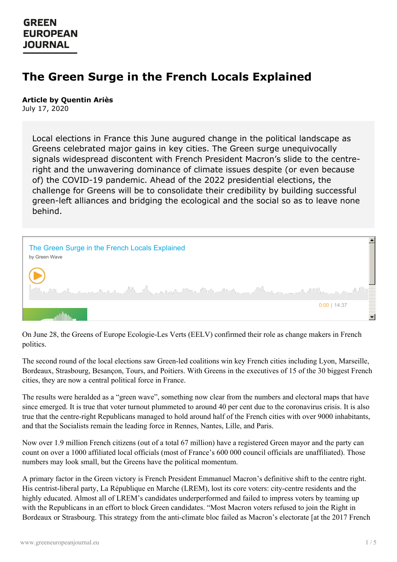# **The Green Surge in the French Locals Explained**

#### **Article by Quentin Ariès**

July 17, 2020

Local elections in France this June augured change in the political landscape as Greens celebrated major gains in key cities. The Green surge unequivocally signals widespread discontent with French President Macron's slide to the centreright and the unwavering dominance of climate issues despite (or even because of) the COVID-19 pandemic. Ahead of the 2022 presidential elections, the challenge for Greens will be to consolidate their credibility by building successful green-left alliances and bridging the ecological and the social so as to leave none behind.



On June 28, the Greens of Europe Ecologie-Les Verts (EELV) confirmed their role as change makers in French politics.

The second round of the local elections saw Green-led coalitions win key French cities including Lyon, Marseille, Bordeaux, Strasbourg, Besançon, Tours, and Poitiers. With Greens in the executives of 15 of the 30 biggest French cities, they are now a central political force in France.

The results were heralded as a "green wave", something now clear from the numbers and electoral maps that have since emerged. It is true that voter turnout plummeted to around 40 per cent due to the coronavirus crisis. It is also true that the centre-right Republicans managed to hold around half of the French cities with over 9000 inhabitants, and that the Socialists remain the leading force in Rennes, Nantes, Lille, and Paris.

Now over 1.9 million French citizens (out of a total 67 million) have a registered Green mayor and the party can count on over a 1000 affiliated local officials (most of France's 600 000 council officials are unaffiliated). Those numbers may look small, but the Greens have the political momentum.

A [primary](https://www.greeneuropeanjournal.eu) factor in the Green victory is French President Emmanuel Macron's definitive shift to the centre right. His centrist-liberal party, La République en Marche (LREM), lost its core voters: city-centre residents and the highly educated. Almost all of LREM's candidates underperformed and failed to impress voters by teaming up with the Republicans in an effort to block Green candidates. "Most Macron voters refused to join the Right in Bordeaux or Strasbourg. This strategy from the anti-climate bloc failed as Macron's electorate [at the 2017 French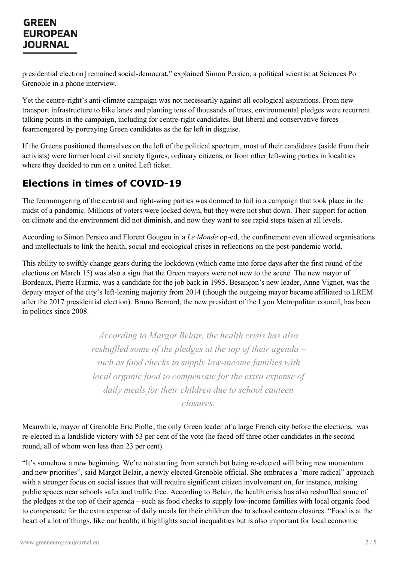presidential election] remained social-democrat," explained Simon Persico, a political scientist at Sciences Po Grenoble in a phone interview.

Yet the centre-right's anti-climate campaign was not necessarily against all ecological aspirations. From new transport infrastructure to bike lanes and planting tens of thousands of trees, environmental pledges were recurrent talking points in the campaign, including for centre-right candidates. But liberal and conservative forces fearmongered by portraying Green candidates as the far left in disguise.

If the Greens positioned themselves on the left of the political spectrum, most of their candidates (aside from their activists) were former local civil society figures, ordinary citizens, or from other left-wing parties in localities where they decided to run on a united Left ticket.

## **Elections in times of COVID-19**

The fearmongering of the centrist and right-wing parties was doomed to fail in a campaign that took place in the midst of a pandemic. Millions of voters were locked down, but they were not shut down. Their support for action on climate and the environment did not diminish, and now they want to see rapid steps taken at all levels.

According to Simon Persico and Florent Gougou in a *Le [Monde](https://www.lemonde.fr/idees/article/2020/07/02/avec-ces-municipales-les-verts-ont-franchi-une-nouvelle-marche-en-vue-de-la-conquete-du-pouvoir_6044905_3232.html)* op-ed, the confinement even allowed organisations and intellectuals to link the health, social and ecological crises in reflections on the post-pandemic world.

This ability to swiftly change gears during the lockdown (which came into force days after the first round of the elections on March 15) was also a sign that the Green mayors were not new to the scene. The new mayor of Bordeaux, Pierre Hurmic, was a candidate for the job back in 1995. Besançon's new leader, Anne Vignot, was the deputy mayor of the city's left-leaning majority from 2014 (though the outgoing mayor became affiliated to LREM after the 2017 presidential election). Bruno Bernard, the new president of the Lyon Metropolitan council, has been in politics since 2008.

> *According to Margot Belair, the health crisis has also reshuffled some of the pledges at the top of their agenda* – *such as food checks to supply low-income families with local organic food to compensate for the extra expense of daily meals for their children due to school canteen closures.*

Meanwhile, mayor of [Grenoble](https://www.greeneuropeanjournal.eu/the-eric-piolle-effect-grenobles-green-transition/) Eric Piolle, the only Green leader of a large French city before the elections, was re-elected in a landslide victory with 53 per cent of the vote (he faced off three other candidates in the second round, all of whom won less than 23 per cent).

"It's somehow a new beginning. We're not starting from scratch but being re-elected will bring new momentum and new [priorities",](https://www.greeneuropeanjournal.eu) said Margot Belair, a newly elected Grenoble official. She embraces a "more radical" approach with a stronger focus on social issues that will require significant citizen involvement on, for instance, making public spaces near schools safer and traffic free. According to Belair, the health crisis has also reshuffled some of the pledges at the top of their agenda – such as food checks to supply low-income families with local organic food to compensate for the extra expense of daily meals for their children due to school canteen closures. "Food is at the heart of a lot of things, like our health; it highlights social inequalities but is also important for local economic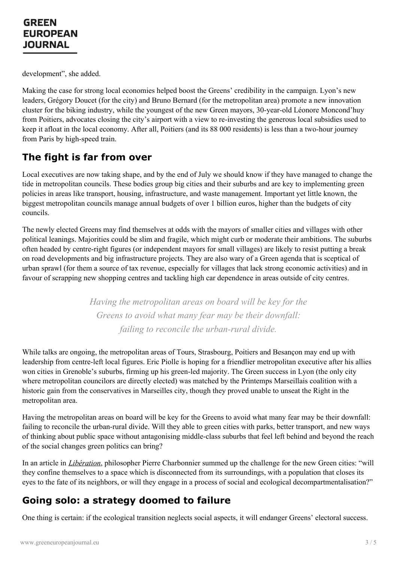development", she added.

Making the case for strong local economies helped boost the Greens' credibility in the campaign. Lyon's new leaders, Grégory Doucet (for the city) and Bruno Bernard (for the metropolitan area) promote a new innovation cluster for the biking industry, while the youngest of the new Green mayors, 30-year-old Léonore Moncond'huy from Poitiers, advocates closing the city's airport with a view to re-investing the generous local subsidies used to keep it afloat in the local economy. After all, Poitiers (and its 88 000 residents) is less than a two-hour journey from Paris by high-speed train.

#### **The fight is far from over**

Local executives are now taking shape, and by the end of July we should know if they have managed to change the tide in metropolitan councils. These bodies group big cities and their suburbs and are key to implementing green policies in areas like transport, housing, infrastructure, and waste management. Important yet little known, the biggest metropolitan councils manage annual budgets of over 1 billion euros, higher than the budgets of city councils.

The newly elected Greens may find themselves at odds with the mayors of smaller cities and villages with other political leanings. Majorities could be slim and fragile, which might curb or moderate their ambitions. The suburbs often headed by centre-right figures (or independent mayors for small villages) are likely to resist putting a break on road developments and big infrastructure projects. They are also wary of a Green agenda that is sceptical of urban sprawl (for them a source of tax revenue, especially for villages that lack strong economic activities) and in favour of scrapping new shopping centres and tackling high car dependence in areas outside of city centres.

> *Having the metropolitan areas on board will be key for the Greens to avoid what many fear may be their downfall: failing to reconcile the urban-rural divide.*

While talks are ongoing, the metropolitan areas of Tours, Strasbourg, Poitiers and Besançon may end up with leadership from centre-left local figures. Eric Piolle is hoping for a friendlier metropolitan executive after his allies won cities in Grenoble's suburbs, firming up his green-led majority. The Green success in Lyon (the only city where metropolitan councilors are directly elected) was matched by the Printemps Marseillais coalition with a historic gain from the conservatives in Marseilles city, though they proved unable to unseat the Right in the metropolitan area.

Having the metropolitan areas on board will be key for the Greens to avoid what many fear may be their downfall: failing to reconcile the urban-rural divide. Will they able to green cities with parks, better transport, and new ways of thinking about public space without antagonising middle-class suburbs that feel left behind and beyond the reach of the social changes green politics can bring?

In an article in *[Libération](https://www.liberation.fr/debats/2020/06/30/l-ecologie-municipale-ou-la-ville-face-a-son-histoire_1792880)*, philosopher Pierre Charbonnier summed up the challenge for the new Green cities: "will they confine [themselves](https://www.greeneuropeanjournal.eu) to a space which is disconnected from its surroundings, with a population that closes its eyes to the fate of its neighbors, or will they engage in a process of social and ecological decompartmentalisation?"

#### **Going solo: a strategy doomed to failure**

One thing is certain: if the ecological transition neglects social aspects, it will endanger Greens' electoral success.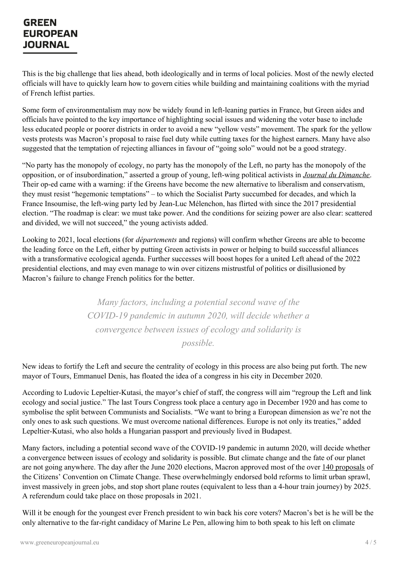This is the big challenge that lies ahead, both ideologically and in terms of local policies. Most of the newly elected officials will have to quickly learn how to govern cities while building and maintaining coalitions with the myriad of French leftist parties.

Some form of environmentalism may now be widely found in left-leaning parties in France, but Green aides and officials have pointed to the key importance of highlighting social issues and widening the voter base to include less educated people or poorer districts in order to avoid a new "yellow vests" movement. The spark for the yellow vests protests was Macron's proposal to raise fuel duty while cutting taxes for the highest earners. Many have also suggested that the temptation of rejecting alliances in favour of "going solo" would not be a good strategy.

"No party has the monopoly of ecology, no party has the monopoly of the Left, no party has the monopoly of the opposition, or of insubordination," asserted a group of young, left-wing political activists in *Journal du [Dimanche](https://www.lejdd.fr/Politique/tribune-municipales-2020-lecologie-gagne-en-rassemblant-a-gauche-3978823)*. Their op-ed came with a warning: if the Greens have become the new alternative to liberalism and conservatism, they must resist "hegemonic temptations" – to which the Socialist Party succumbed for decades, and which la France Insoumise, the left-wing party led by Jean-Luc Mélenchon, has flirted with since the 2017 presidential election. "The roadmap is clear: we must take power. And the conditions for seizing power are also clear: scattered and divided, we will not succeed," the young activists added.

Looking to 2021, local elections (for *départements* and regions) will confirm whether Greens are able to become the leading force on the Left, either by putting Green activists in power or helping to build successful alliances with a transformative ecological agenda. Further successes will boost hopes for a united Left ahead of the 2022 presidential elections, and may even manage to win over citizens mistrustful of politics or disillusioned by Macron's failure to change French politics for the better.

> *Many factors, including a potential second wave of the COVID-19 pandemic in autumn 2020, will decide whether a convergence between issues of ecology and solidarity is possible.*

New ideas to fortify the Left and secure the centrality of ecology in this process are also being put forth. The new mayor of Tours, Emmanuel Denis, has floated the idea of a congress in his city in December 2020.

According to Ludovic Lepeltier-Kutasi, the mayor's chief of staff, the congress will aim "regroup the Left and link ecology and social justice." The last Tours Congress took place a century ago in December 1920 and has come to symbolise the split between Communists and Socialists. "We want to bring a European dimension as we're not the only ones to ask such questions. We must overcome national differences. Europe is not only its treaties," added Lepeltier-Kutasi, who also holds a Hungarian passport and previously lived in Budapest.

Many factors, including a potential second wave of the COVID-19 pandemic in autumn 2020, will decide whether a convergence between issues of ecology and solidarity is possible. But climate change and the fate of our planet are not going anywhere. The day after the June 2020 elections, Macron approved most of the over 140 [proposals](https://propositions.conventioncitoyennepourleclimat.fr/pdf/ccc-rapport-final.pdf) of the Citizens' [Convention](https://www.greeneuropeanjournal.eu) on Climate Change. These overwhelmingly endorsed bold reforms to limit urban sprawl, invest massively in green jobs, and stop short plane routes (equivalent to less than a 4-hour train journey) by 2025. A referendum could take place on those proposals in 2021.

Will it be enough for the youngest ever French president to win back his core voters? Macron's bet is he will be the only alternative to the far-right candidacy of Marine Le Pen, allowing him to both speak to his left on climate